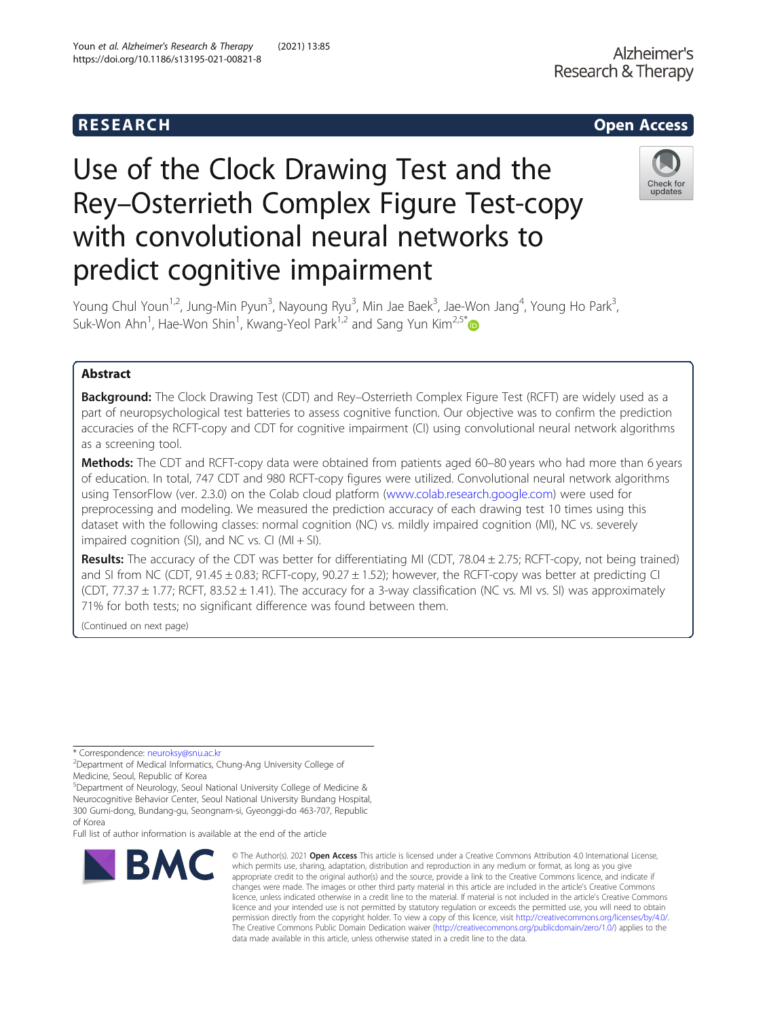# R E S EAR CH Open Access

# Use of the Clock Drawing Test and the Rey–Osterrieth Complex Figure Test-copy with convolutional neural networks to predict cognitive impairment



Young Chul Youn<sup>1,2</sup>, Jung-Min Pyun<sup>3</sup>, Nayoung Ryu<sup>3</sup>, Min Jae Baek<sup>3</sup>, Jae-Won Jang<sup>4</sup>, Young Ho Park<sup>3</sup> , Suk-Won Ahn<sup>1</sup>, Hae-Won Shin<sup>1</sup>, Kwang-Yeol Park<sup>1,2</sup> and Sang Yun Kim<sup>2,5[\\*](http://orcid.org/0000-0002-9101-5704)</sup>

# Abstract

**Background:** The Clock Drawing Test (CDT) and Rey–Osterrieth Complex Figure Test (RCFT) are widely used as a part of neuropsychological test batteries to assess cognitive function. Our objective was to confirm the prediction accuracies of the RCFT-copy and CDT for cognitive impairment (CI) using convolutional neural network algorithms as a screening tool.

Methods: The CDT and RCFT-copy data were obtained from patients aged 60-80 years who had more than 6 years of education. In total, 747 CDT and 980 RCFT-copy figures were utilized. Convolutional neural network algorithms using TensorFlow (ver. 2.3.0) on the Colab cloud platform [\(www.colab.research.google.com\)](http://www.colab.research.google.com) were used for preprocessing and modeling. We measured the prediction accuracy of each drawing test 10 times using this dataset with the following classes: normal cognition (NC) vs. mildly impaired cognition (MI), NC vs. severely impaired cognition (SI), and NC vs. CI ( $MI + SI$ ).

**Results:** The accuracy of the CDT was better for differentiating MI (CDT, 78.04  $\pm$  2.75; RCFT-copy, not being trained) and SI from NC (CDT, 91.45 ± 0.83; RCFT-copy, 90.27 ± 1.52); however, the RCFT-copy was better at predicting CI (CDT,  $77.37 \pm 1.77$ ; RCFT,  $83.52 \pm 1.41$ ). The accuracy for a 3-way classification (NC vs. MI vs. SI) was approximately 71% for both tests; no significant difference was found between them.

(Continued on next page)

\* Correspondence: [neuroksy@snu.ac.kr](mailto:neuroksy@snu.ac.kr) <sup>2</sup>

5 Department of Neurology, Seoul National University College of Medicine & Neurocognitive Behavior Center, Seoul National University Bundang Hospital, 300 Gumi-dong, Bundang-gu, Seongnam-si, Gyeonggi-do 463-707, Republic

of Korea

Full list of author information is available at the end of the article



<sup>©</sup> The Author(s), 2021 **Open Access** This article is licensed under a Creative Commons Attribution 4.0 International License, which permits use, sharing, adaptation, distribution and reproduction in any medium or format, as long as you give appropriate credit to the original author(s) and the source, provide a link to the Creative Commons licence, and indicate if changes were made. The images or other third party material in this article are included in the article's Creative Commons licence, unless indicated otherwise in a credit line to the material. If material is not included in the article's Creative Commons licence and your intended use is not permitted by statutory regulation or exceeds the permitted use, you will need to obtain permission directly from the copyright holder. To view a copy of this licence, visit [http://creativecommons.org/licenses/by/4.0/.](http://creativecommons.org/licenses/by/4.0/) The Creative Commons Public Domain Dedication waiver [\(http://creativecommons.org/publicdomain/zero/1.0/](http://creativecommons.org/publicdomain/zero/1.0/)) applies to the data made available in this article, unless otherwise stated in a credit line to the data.

Department of Medical Informatics, Chung-Ang University College of Medicine, Seoul, Republic of Korea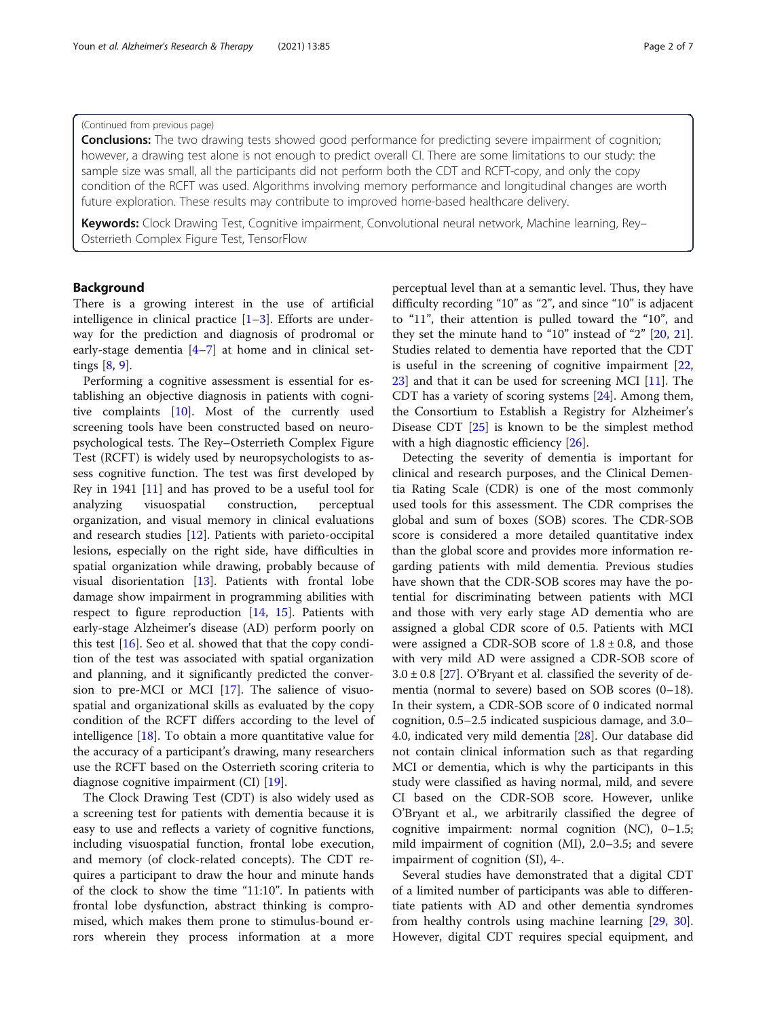#### (Continued from previous page)

**Conclusions:** The two drawing tests showed good performance for predicting severe impairment of cognition; however, a drawing test alone is not enough to predict overall CI. There are some limitations to our study: the sample size was small, all the participants did not perform both the CDT and RCFT-copy, and only the copy condition of the RCFT was used. Algorithms involving memory performance and longitudinal changes are worth future exploration. These results may contribute to improved home-based healthcare delivery.

Keywords: Clock Drawing Test, Cognitive impairment, Convolutional neural network, Machine learning, Rey-Osterrieth Complex Figure Test, TensorFlow

### Background

There is a growing interest in the use of artificial intelligence in clinical practice  $[1-3]$  $[1-3]$  $[1-3]$  $[1-3]$ . Efforts are underway for the prediction and diagnosis of prodromal or early-stage dementia [\[4](#page-5-0)–[7](#page-5-0)] at home and in clinical settings [\[8](#page-5-0), [9](#page-5-0)].

Performing a cognitive assessment is essential for establishing an objective diagnosis in patients with cognitive complaints [[10\]](#page-5-0). Most of the currently used screening tools have been constructed based on neuropsychological tests. The Rey–Osterrieth Complex Figure Test (RCFT) is widely used by neuropsychologists to assess cognitive function. The test was first developed by Rey in 1941 [\[11](#page-5-0)] and has proved to be a useful tool for analyzing visuospatial construction, perceptual organization, and visual memory in clinical evaluations and research studies [[12\]](#page-5-0). Patients with parieto-occipital lesions, especially on the right side, have difficulties in spatial organization while drawing, probably because of visual disorientation [\[13](#page-5-0)]. Patients with frontal lobe damage show impairment in programming abilities with respect to figure reproduction [\[14](#page-5-0), [15\]](#page-5-0). Patients with early-stage Alzheimer's disease (AD) perform poorly on this test [\[16](#page-6-0)]. Seo et al. showed that that the copy condition of the test was associated with spatial organization and planning, and it significantly predicted the conversion to pre-MCI or MCI [\[17\]](#page-6-0). The salience of visuospatial and organizational skills as evaluated by the copy condition of the RCFT differs according to the level of intelligence [\[18](#page-6-0)]. To obtain a more quantitative value for the accuracy of a participant's drawing, many researchers use the RCFT based on the Osterrieth scoring criteria to diagnose cognitive impairment (CI) [\[19\]](#page-6-0).

The Clock Drawing Test (CDT) is also widely used as a screening test for patients with dementia because it is easy to use and reflects a variety of cognitive functions, including visuospatial function, frontal lobe execution, and memory (of clock-related concepts). The CDT requires a participant to draw the hour and minute hands of the clock to show the time "11:10". In patients with frontal lobe dysfunction, abstract thinking is compromised, which makes them prone to stimulus-bound errors wherein they process information at a more perceptual level than at a semantic level. Thus, they have difficulty recording "10" as "2", and since "10" is adjacent to "11", their attention is pulled toward the "10", and they set the minute hand to "10" instead of "2" [[20,](#page-6-0) [21](#page-6-0)]. Studies related to dementia have reported that the CDT is useful in the screening of cognitive impairment [[22](#page-6-0), [23\]](#page-6-0) and that it can be used for screening MCI [[11\]](#page-5-0). The CDT has a variety of scoring systems [[24\]](#page-6-0). Among them, the Consortium to Establish a Registry for Alzheimer's Disease CDT [[25\]](#page-6-0) is known to be the simplest method with a high diagnostic efficiency [\[26](#page-6-0)].

Detecting the severity of dementia is important for clinical and research purposes, and the Clinical Dementia Rating Scale (CDR) is one of the most commonly used tools for this assessment. The CDR comprises the global and sum of boxes (SOB) scores. The CDR-SOB score is considered a more detailed quantitative index than the global score and provides more information regarding patients with mild dementia. Previous studies have shown that the CDR-SOB scores may have the potential for discriminating between patients with MCI and those with very early stage AD dementia who are assigned a global CDR score of 0.5. Patients with MCI were assigned a CDR-SOB score of  $1.8 \pm 0.8$ , and those with very mild AD were assigned a CDR-SOB score of  $3.0 \pm 0.8$  [\[27](#page-6-0)]. O'Bryant et al. classified the severity of dementia (normal to severe) based on SOB scores (0–18). In their system, a CDR-SOB score of 0 indicated normal cognition, 0.5–2.5 indicated suspicious damage, and 3.0– 4.0, indicated very mild dementia [[28\]](#page-6-0). Our database did not contain clinical information such as that regarding MCI or dementia, which is why the participants in this study were classified as having normal, mild, and severe CI based on the CDR-SOB score. However, unlike O'Bryant et al., we arbitrarily classified the degree of cognitive impairment: normal cognition (NC), 0–1.5; mild impairment of cognition (MI), 2.0–3.5; and severe impairment of cognition (SI), 4-.

Several studies have demonstrated that a digital CDT of a limited number of participants was able to differentiate patients with AD and other dementia syndromes from healthy controls using machine learning [[29,](#page-6-0) [30](#page-6-0)]. However, digital CDT requires special equipment, and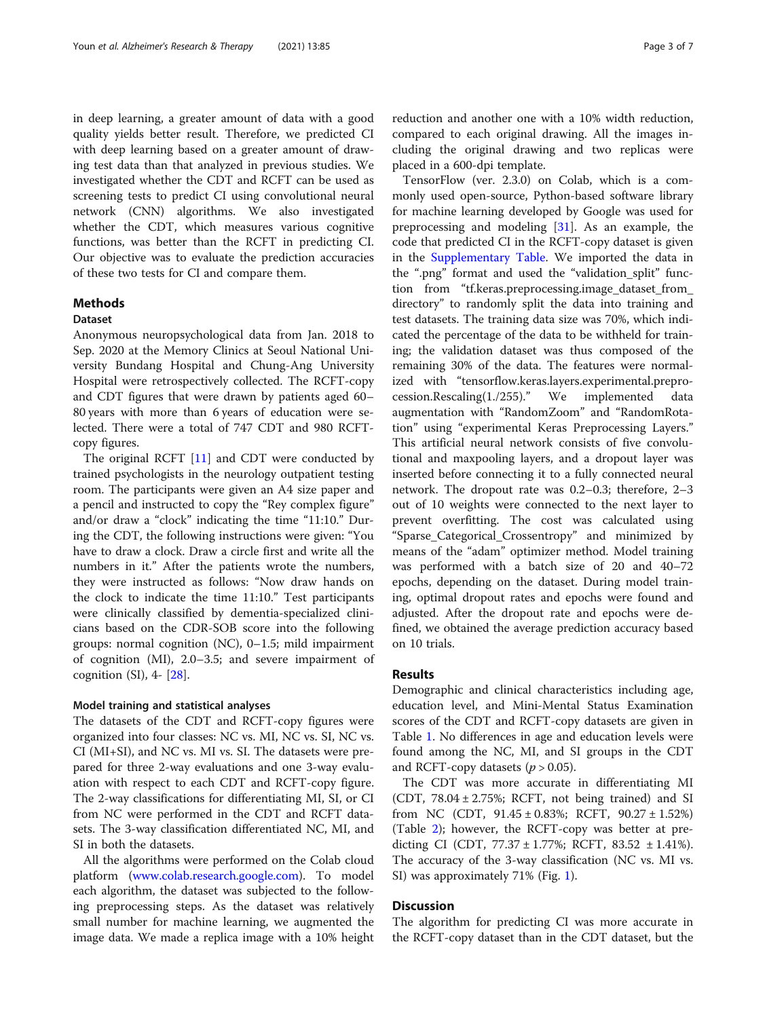in deep learning, a greater amount of data with a good quality yields better result. Therefore, we predicted CI with deep learning based on a greater amount of drawing test data than that analyzed in previous studies. We investigated whether the CDT and RCFT can be used as screening tests to predict CI using convolutional neural network (CNN) algorithms. We also investigated whether the CDT, which measures various cognitive functions, was better than the RCFT in predicting CI. Our objective was to evaluate the prediction accuracies of these two tests for CI and compare them.

## Methods

#### Dataset

Anonymous neuropsychological data from Jan. 2018 to Sep. 2020 at the Memory Clinics at Seoul National University Bundang Hospital and Chung-Ang University Hospital were retrospectively collected. The RCFT-copy and CDT figures that were drawn by patients aged 60– 80 years with more than 6 years of education were selected. There were a total of 747 CDT and 980 RCFTcopy figures.

The original RCFT [\[11\]](#page-5-0) and CDT were conducted by trained psychologists in the neurology outpatient testing room. The participants were given an A4 size paper and a pencil and instructed to copy the "Rey complex figure" and/or draw a "clock" indicating the time "11:10." During the CDT, the following instructions were given: "You have to draw a clock. Draw a circle first and write all the numbers in it." After the patients wrote the numbers, they were instructed as follows: "Now draw hands on the clock to indicate the time 11:10." Test participants were clinically classified by dementia-specialized clinicians based on the CDR-SOB score into the following groups: normal cognition (NC), 0–1.5; mild impairment of cognition (MI), 2.0–3.5; and severe impairment of cognition  $(SI)$ , 4-  $[28]$  $[28]$ .

#### Model training and statistical analyses

The datasets of the CDT and RCFT-copy figures were organized into four classes: NC vs. MI, NC vs. SI, NC vs. CI (MI+SI), and NC vs. MI vs. SI. The datasets were prepared for three 2-way evaluations and one 3-way evaluation with respect to each CDT and RCFT-copy figure. The 2-way classifications for differentiating MI, SI, or CI from NC were performed in the CDT and RCFT datasets. The 3-way classification differentiated NC, MI, and SI in both the datasets.

All the algorithms were performed on the Colab cloud platform [\(www.colab.research.google.com](http://www.colab.research.google.com)). To model each algorithm, the dataset was subjected to the following preprocessing steps. As the dataset was relatively small number for machine learning, we augmented the image data. We made a replica image with a 10% height

reduction and another one with a 10% width reduction, compared to each original drawing. All the images including the original drawing and two replicas were placed in a 600-dpi template.

TensorFlow (ver. 2.3.0) on Colab, which is a commonly used open-source, Python-based software library for machine learning developed by Google was used for preprocessing and modeling [\[31\]](#page-6-0). As an example, the code that predicted CI in the RCFT-copy dataset is given in the [Supplementary Table.](#page-5-0) We imported the data in the ".png" format and used the "validation\_split" function from "tf.keras.preprocessing.image\_dataset\_from\_ directory" to randomly split the data into training and test datasets. The training data size was 70%, which indicated the percentage of the data to be withheld for training; the validation dataset was thus composed of the remaining 30% of the data. The features were normalized with "tensorflow.keras.layers.experimental.preprocession.Rescaling(1./255)." We implemented data augmentation with "RandomZoom" and "RandomRotation" using "experimental Keras Preprocessing Layers." This artificial neural network consists of five convolutional and maxpooling layers, and a dropout layer was inserted before connecting it to a fully connected neural network. The dropout rate was 0.2–0.3; therefore, 2–3 out of 10 weights were connected to the next layer to prevent overfitting. The cost was calculated using "Sparse\_Categorical\_Crossentropy" and minimized by means of the "adam" optimizer method. Model training was performed with a batch size of 20 and 40–72 epochs, depending on the dataset. During model training, optimal dropout rates and epochs were found and adjusted. After the dropout rate and epochs were defined, we obtained the average prediction accuracy based on 10 trials.

#### Results

Demographic and clinical characteristics including age, education level, and Mini-Mental Status Examination scores of the CDT and RCFT-copy datasets are given in Table [1.](#page-3-0) No differences in age and education levels were found among the NC, MI, and SI groups in the CDT and RCFT-copy datasets  $(p > 0.05)$ .

The CDT was more accurate in differentiating MI (CDT,  $78.04 \pm 2.75\%$ ; RCFT, not being trained) and SI from NC (CDT, 91.45 ± 0.83%; RCFT, 90.27 ± 1.52%) (Table [2](#page-3-0)); however, the RCFT-copy was better at predicting CI (CDT,  $77.37 \pm 1.77$ %; RCFT,  $83.52 \pm 1.41$ %). The accuracy of the 3-way classification (NC vs. MI vs. SI) was approximately 71% (Fig. [1](#page-4-0)).

# **Discussion**

The algorithm for predicting CI was more accurate in the RCFT-copy dataset than in the CDT dataset, but the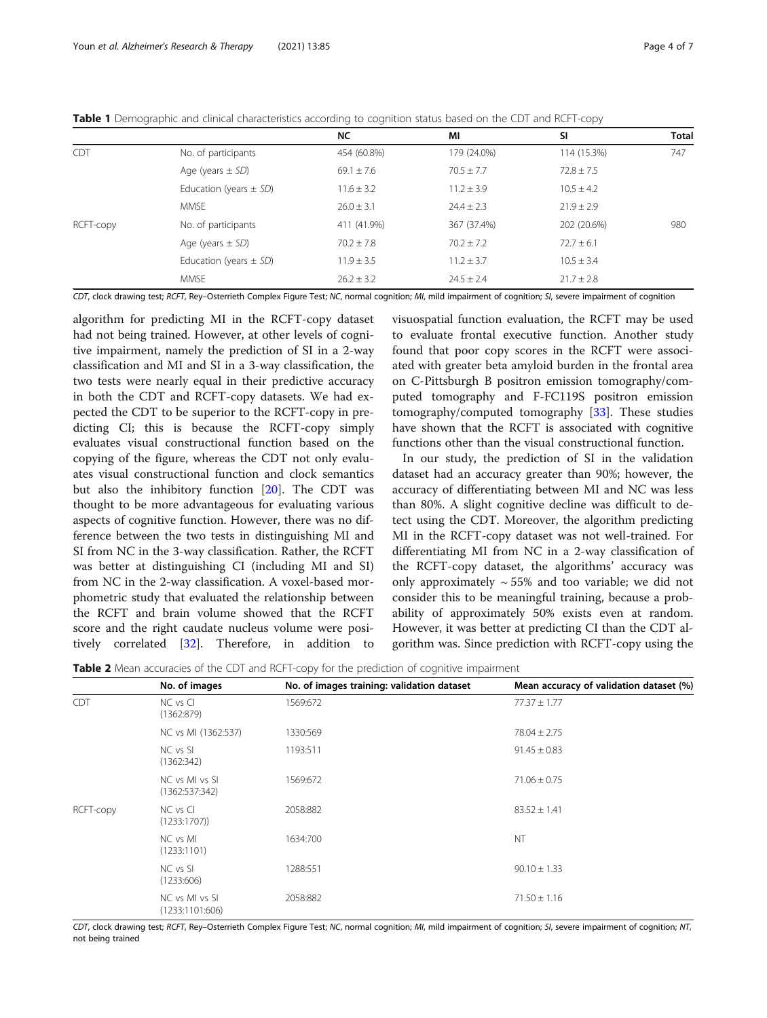|            |                            | <b>NC</b>      | ΜI             | SI             | <b>Total</b> |
|------------|----------------------------|----------------|----------------|----------------|--------------|
| <b>CDT</b> | No. of participants        | 454 (60.8%)    | 179 (24.0%)    | 114 (15.3%)    | 747          |
|            | Age (years $\pm$ SD)       | $69.1 \pm 7.6$ | $70.5 + 7.7$   | $72.8 \pm 7.5$ |              |
|            | Education (years $\pm$ SD) | $11.6 \pm 3.2$ | $11.2 \pm 3.9$ | $10.5 + 4.2$   |              |
|            | <b>MMSF</b>                | $26.0 \pm 3.1$ | $24.4 \pm 2.3$ | $21.9 \pm 2.9$ |              |
| RCFT-copy  | No. of participants        | 411 (41.9%)    | 367 (37.4%)    | 202 (20.6%)    | 980          |
|            | Age (years $\pm$ SD)       | $70.2 \pm 7.8$ | $70.2 \pm 7.2$ | $72.7 \pm 6.1$ |              |
|            | Education (years $\pm$ SD) | $11.9 \pm 3.5$ | $11.2 \pm 3.7$ | $10.5 + 3.4$   |              |
|            | <b>MMSE</b>                | $26.2 \pm 3.2$ | $24.5 \pm 2.4$ | $21.7 \pm 2.8$ |              |

<span id="page-3-0"></span>Table 1 Demographic and clinical characteristics according to cognition status based on the CDT and RCFT-copy

CDT, clock drawing test; RCFT, Rey-Osterrieth Complex Figure Test; NC, normal cognition; MI, mild impairment of cognition; SI, severe impairment of cognition

algorithm for predicting MI in the RCFT-copy dataset had not being trained. However, at other levels of cognitive impairment, namely the prediction of SI in a 2-way classification and MI and SI in a 3-way classification, the two tests were nearly equal in their predictive accuracy in both the CDT and RCFT-copy datasets. We had expected the CDT to be superior to the RCFT-copy in predicting CI; this is because the RCFT-copy simply evaluates visual constructional function based on the copying of the figure, whereas the CDT not only evaluates visual constructional function and clock semantics but also the inhibitory function [[20\]](#page-6-0). The CDT was thought to be more advantageous for evaluating various aspects of cognitive function. However, there was no difference between the two tests in distinguishing MI and SI from NC in the 3-way classification. Rather, the RCFT was better at distinguishing CI (including MI and SI) from NC in the 2-way classification. A voxel-based morphometric study that evaluated the relationship between the RCFT and brain volume showed that the RCFT score and the right caudate nucleus volume were positively correlated [[32](#page-6-0)]. Therefore, in addition to visuospatial function evaluation, the RCFT may be used to evaluate frontal executive function. Another study found that poor copy scores in the RCFT were associated with greater beta amyloid burden in the frontal area on C-Pittsburgh B positron emission tomography/computed tomography and F-FC119S positron emission tomography/computed tomography [[33\]](#page-6-0). These studies have shown that the RCFT is associated with cognitive functions other than the visual constructional function.

In our study, the prediction of SI in the validation dataset had an accuracy greater than 90%; however, the accuracy of differentiating between MI and NC was less than 80%. A slight cognitive decline was difficult to detect using the CDT. Moreover, the algorithm predicting MI in the RCFT-copy dataset was not well-trained. For differentiating MI from NC in a 2-way classification of the RCFT-copy dataset, the algorithms' accuracy was only approximately  $\sim$  55% and too variable; we did not consider this to be meaningful training, because a probability of approximately 50% exists even at random. However, it was better at predicting CI than the CDT algorithm was. Since prediction with RCFT-copy using the

**Table 2** Mean accuracies of the CDT and RCFT-copy for the prediction of cognitive impairment

|            | No. of images                     | No. of images training: validation dataset | Mean accuracy of validation dataset (%) |
|------------|-----------------------------------|--------------------------------------------|-----------------------------------------|
| <b>CDT</b> | NC vs Cl<br>(1362:879)            | 1569:672                                   | $77.37 \pm 1.77$                        |
|            | NC vs MI (1362:537)               | 1330:569                                   | $78.04 \pm 2.75$                        |
|            | NC vs SI<br>(1362:342)            | 1193:511                                   | $91.45 \pm 0.83$                        |
|            | NC vs MI vs SI<br>(1362:537:342)  | 1569:672                                   | $71.06 \pm 0.75$                        |
| RCFT-copy  | NC vs Cl<br>(1233:1707)           | 2058:882                                   | $83.52 \pm 1.41$                        |
|            | NC vs MI<br>(1233:1101)           | 1634:700                                   | <b>NT</b>                               |
|            | NC vs SI<br>(1233:606)            | 1288:551                                   | $90.10 \pm 1.33$                        |
|            | NC vs MI vs SI<br>(1233:1101:606) | 2058:882                                   | $71.50 \pm 1.16$                        |

CDT, clock drawing test; RCFT, Rey-Osterrieth Complex Figure Test; NC, normal cognition; MI, mild impairment of cognition; SI, severe impairment of cognition; NT, not being trained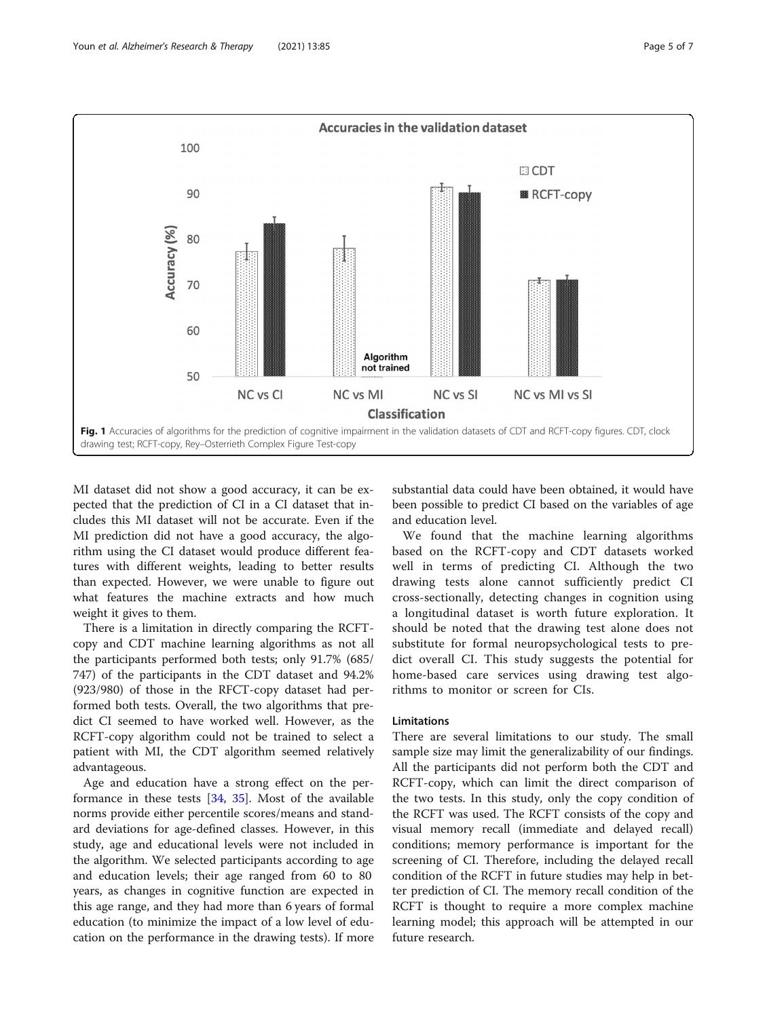<span id="page-4-0"></span>

MI dataset did not show a good accuracy, it can be expected that the prediction of CI in a CI dataset that includes this MI dataset will not be accurate. Even if the MI prediction did not have a good accuracy, the algorithm using the CI dataset would produce different features with different weights, leading to better results than expected. However, we were unable to figure out what features the machine extracts and how much weight it gives to them.

There is a limitation in directly comparing the RCFTcopy and CDT machine learning algorithms as not all the participants performed both tests; only 91.7% (685/ 747) of the participants in the CDT dataset and 94.2% (923/980) of those in the RFCT-copy dataset had performed both tests. Overall, the two algorithms that predict CI seemed to have worked well. However, as the RCFT-copy algorithm could not be trained to select a patient with MI, the CDT algorithm seemed relatively advantageous.

Age and education have a strong effect on the performance in these tests [[34,](#page-6-0) [35](#page-6-0)]. Most of the available norms provide either percentile scores/means and standard deviations for age-defined classes. However, in this study, age and educational levels were not included in the algorithm. We selected participants according to age and education levels; their age ranged from 60 to 80 years, as changes in cognitive function are expected in this age range, and they had more than 6 years of formal education (to minimize the impact of a low level of education on the performance in the drawing tests). If more

substantial data could have been obtained, it would have been possible to predict CI based on the variables of age and education level.

We found that the machine learning algorithms based on the RCFT-copy and CDT datasets worked well in terms of predicting CI. Although the two drawing tests alone cannot sufficiently predict CI cross-sectionally, detecting changes in cognition using a longitudinal dataset is worth future exploration. It should be noted that the drawing test alone does not substitute for formal neuropsychological tests to predict overall CI. This study suggests the potential for home-based care services using drawing test algorithms to monitor or screen for CIs.

# Limitations

There are several limitations to our study. The small sample size may limit the generalizability of our findings. All the participants did not perform both the CDT and RCFT-copy, which can limit the direct comparison of the two tests. In this study, only the copy condition of the RCFT was used. The RCFT consists of the copy and visual memory recall (immediate and delayed recall) conditions; memory performance is important for the screening of CI. Therefore, including the delayed recall condition of the RCFT in future studies may help in better prediction of CI. The memory recall condition of the RCFT is thought to require a more complex machine learning model; this approach will be attempted in our future research.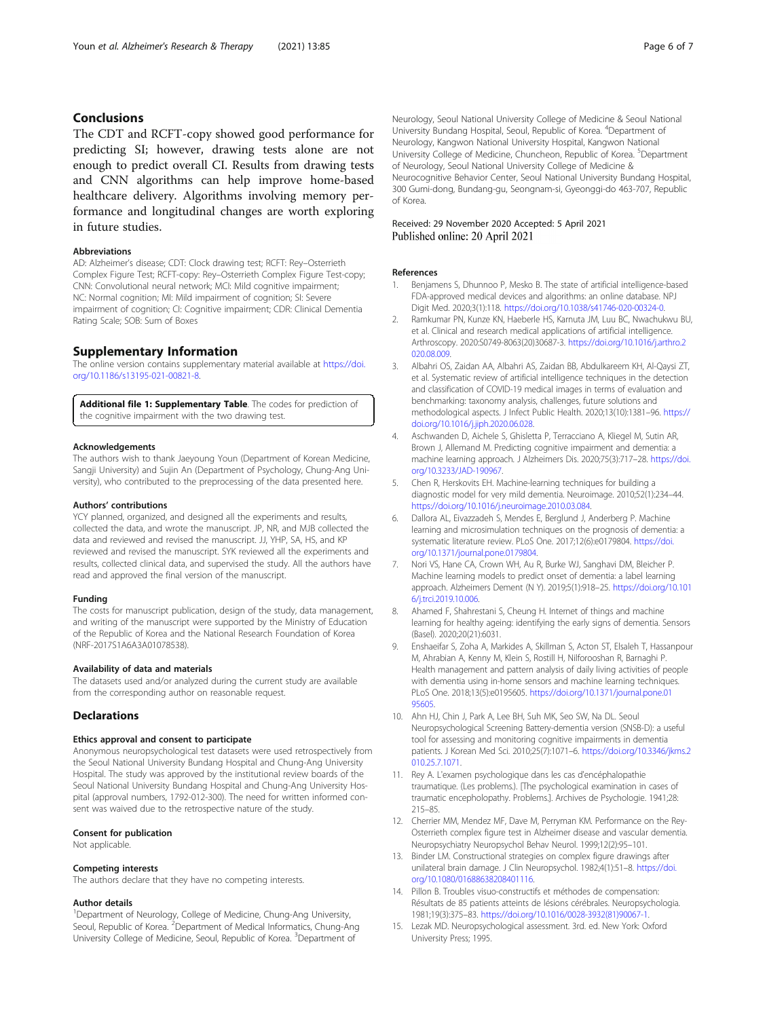# <span id="page-5-0"></span>Conclusions

The CDT and RCFT-copy showed good performance for predicting SI; however, drawing tests alone are not enough to predict overall CI. Results from drawing tests and CNN algorithms can help improve home-based healthcare delivery. Algorithms involving memory performance and longitudinal changes are worth exploring in future studies.

#### Abbreviations

AD: Alzheimer's disease; CDT: Clock drawing test; RCFT: Rey–Osterrieth Complex Figure Test; RCFT-copy: Rey–Osterrieth Complex Figure Test-copy; CNN: Convolutional neural network; MCI: Mild cognitive impairment; NC: Normal cognition; MI: Mild impairment of cognition; SI: Severe impairment of cognition; CI: Cognitive impairment; CDR: Clinical Dementia Rating Scale; SOB: Sum of Boxes

#### Supplementary Information

The online version contains supplementary material available at [https://doi.](https://doi.org/10.1186/s13195-021-00821-8) [org/10.1186/s13195-021-00821-8.](https://doi.org/10.1186/s13195-021-00821-8)

Additional file 1: Supplementary Table. The codes for prediction of the cognitive impairment with the two drawing test.

#### Acknowledgements

The authors wish to thank Jaeyoung Youn (Department of Korean Medicine, Sangji University) and Sujin An (Department of Psychology, Chung-Ang University), who contributed to the preprocessing of the data presented here.

#### Authors' contributions

YCY planned, organized, and designed all the experiments and results, collected the data, and wrote the manuscript. JP, NR, and MJB collected the data and reviewed and revised the manuscript. JJ, YHP, SA, HS, and KP reviewed and revised the manuscript. SYK reviewed all the experiments and results, collected clinical data, and supervised the study. All the authors have read and approved the final version of the manuscript.

#### Funding

The costs for manuscript publication, design of the study, data management, and writing of the manuscript were supported by the Ministry of Education of the Republic of Korea and the National Research Foundation of Korea (NRF-2017S1A6A3A01078538).

#### Availability of data and materials

The datasets used and/or analyzed during the current study are available from the corresponding author on reasonable request.

#### **Declarations**

#### Ethics approval and consent to participate

Anonymous neuropsychological test datasets were used retrospectively from the Seoul National University Bundang Hospital and Chung-Ang University Hospital. The study was approved by the institutional review boards of the Seoul National University Bundang Hospital and Chung-Ang University Hospital (approval numbers, 1792-012-300). The need for written informed consent was waived due to the retrospective nature of the study.

#### Consent for publication

Not applicable.

#### Competing interests

The authors declare that they have no competing interests.

#### Author details

<sup>1</sup>Department of Neurology, College of Medicine, Chung-Ang University, Seoul, Republic of Korea.<sup>2</sup> Department of Medical Informatics, Chung-Ang University College of Medicine, Seoul, Republic of Korea. <sup>3</sup>Department of

Neurology, Seoul National University College of Medicine & Seoul National University Bundang Hospital, Seoul, Republic of Korea. <sup>4</sup>Department of Neurology, Kangwon National University Hospital, Kangwon National University College of Medicine, Chuncheon, Republic of Korea. <sup>5</sup>Department of Neurology, Seoul National University College of Medicine & Neurocognitive Behavior Center, Seoul National University Bundang Hospital, 300 Gumi-dong, Bundang-gu, Seongnam-si, Gyeonggi-do 463-707, Republic of Korea.

#### Received: 29 November 2020 Accepted: 5 April 2021 Published online: 20 April 2021

#### References

- Benjamens S, Dhunnoo P, Mesko B. The state of artificial intelligence-based FDA-approved medical devices and algorithms: an online database. NPJ Digit Med. 2020;3(1):118. <https://doi.org/10.1038/s41746-020-00324-0>.
- 2. Ramkumar PN, Kunze KN, Haeberle HS, Karnuta JM, Luu BC, Nwachukwu BU, et al. Clinical and research medical applications of artificial intelligence. Arthroscopy. 2020:S0749-8063(20)30687-3. [https://doi.org/10.1016/j.arthro.2](https://doi.org/10.1016/j.arthro.2020.08.009) [020.08.009](https://doi.org/10.1016/j.arthro.2020.08.009).
- 3. Albahri OS, Zaidan AA, Albahri AS, Zaidan BB, Abdulkareem KH, Al-Qaysi ZT, et al. Systematic review of artificial intelligence techniques in the detection and classification of COVID-19 medical images in terms of evaluation and benchmarking: taxonomy analysis, challenges, future solutions and methodological aspects. J Infect Public Health. 2020;13(10):1381–96. [https://](https://doi.org/10.1016/j.jiph.2020.06.028) [doi.org/10.1016/j.jiph.2020.06.028.](https://doi.org/10.1016/j.jiph.2020.06.028)
- 4. Aschwanden D, Aichele S, Ghisletta P, Terracciano A, Kliegel M, Sutin AR, Brown J, Allemand M. Predicting cognitive impairment and dementia: a machine learning approach. J Alzheimers Dis. 2020;75(3):717–28. [https://doi.](https://doi.org/10.3233/JAD-190967) [org/10.3233/JAD-190967.](https://doi.org/10.3233/JAD-190967)
- 5. Chen R, Herskovits EH. Machine-learning techniques for building a diagnostic model for very mild dementia. Neuroimage. 2010;52(1):234–44. <https://doi.org/10.1016/j.neuroimage.2010.03.084>.
- 6. Dallora AL, Eivazzadeh S, Mendes E, Berglund J, Anderberg P. Machine learning and microsimulation techniques on the prognosis of dementia: a systematic literature review. PLoS One. 2017;12(6):e0179804. [https://doi.](https://doi.org/10.1371/journal.pone.0179804) [org/10.1371/journal.pone.0179804.](https://doi.org/10.1371/journal.pone.0179804)
- 7. Nori VS, Hane CA, Crown WH, Au R, Burke WJ, Sanghavi DM, Bleicher P. Machine learning models to predict onset of dementia: a label learning approach. Alzheimers Dement (N Y). 2019;5(1):918–25. [https://doi.org/10.101](https://doi.org/10.1016/j.trci.2019.10.006) [6/j.trci.2019.10.006](https://doi.org/10.1016/j.trci.2019.10.006).
- 8. Ahamed F, Shahrestani S, Cheung H. Internet of things and machine learning for healthy ageing: identifying the early signs of dementia. Sensors (Basel). 2020;20(21):6031.
- 9. Enshaeifar S, Zoha A, Markides A, Skillman S, Acton ST, Elsaleh T, Hassanpour M, Ahrabian A, Kenny M, Klein S, Rostill H, Nilforooshan R, Barnaghi P. Health management and pattern analysis of daily living activities of people with dementia using in-home sensors and machine learning techniques. PLoS One. 2018;13(5):e0195605. [https://doi.org/10.1371/journal.pone.01](https://doi.org/10.1371/journal.pone.0195605) [95605.](https://doi.org/10.1371/journal.pone.0195605)
- 10. Ahn HJ, Chin J, Park A, Lee BH, Suh MK, Seo SW, Na DL. Seoul Neuropsychological Screening Battery-dementia version (SNSB-D): a useful tool for assessing and monitoring cognitive impairments in dementia patients. J Korean Med Sci. 2010;25(7):1071–6. [https://doi.org/10.3346/jkms.2](https://doi.org/10.3346/jkms.2010.25.7.1071) [010.25.7.1071](https://doi.org/10.3346/jkms.2010.25.7.1071).
- 11. Rey A. L'examen psychologique dans les cas d'encéphalopathie traumatique. (Les problems.). [The psychological examination in cases of traumatic encepholopathy. Problems.]. Archives de Psychologie. 1941;28: 215–85.
- 12. Cherrier MM, Mendez MF, Dave M, Perryman KM. Performance on the Rey-Osterrieth complex figure test in Alzheimer disease and vascular dementia. Neuropsychiatry Neuropsychol Behav Neurol. 1999;12(2):95–101.
- 13. Binder LM. Constructional strategies on complex figure drawings after unilateral brain damage. J Clin Neuropsychol. 1982;4(1):51–8. [https://doi.](https://doi.org/10.1080/01688638208401116) [org/10.1080/01688638208401116](https://doi.org/10.1080/01688638208401116).
- 14. Pillon B. Troubles visuo-constructifs et méthodes de compensation: Résultats de 85 patients atteints de lésions cérébrales. Neuropsychologia. 1981;19(3):375–83. [https://doi.org/10.1016/0028-3932\(81\)90067-1](https://doi.org/10.1016/0028-3932(81)90067-1).
- 15. Lezak MD. Neuropsychological assessment. 3rd. ed. New York: Oxford University Press; 1995.